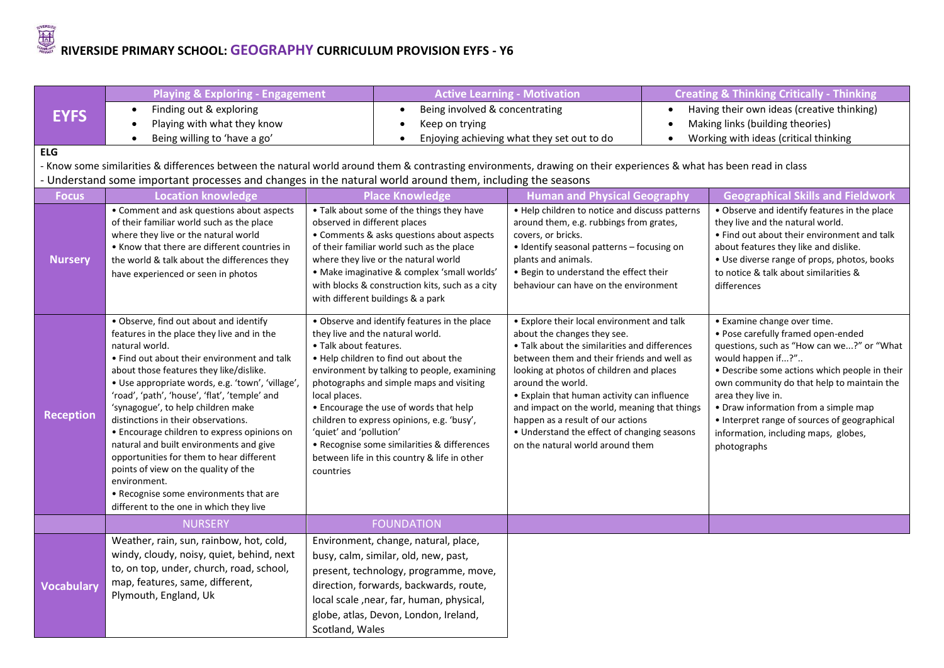## **RIVERSIDE PRIMARY SCHOOL: <b>GEOGRAPHY** CURRICULUM PROVISION EYFS - Y6

|                   | <b>Playing &amp; Exploring - Engagement</b>                                                                                                                                                                                                                                                                                                                                                                                                                                                                                                                                                                                                                           |                                                                                 |                                                                                                                                                                                                                                                                                                                                                                                                             | <b>Active Learning - Motivation</b>                                                                                                                                                                                                                                                                                                                                                                                                                              |  | <b>Creating &amp; Thinking Critically - Thinking</b>                                                                                                                                                                                                                                                                                                                                                    |  |
|-------------------|-----------------------------------------------------------------------------------------------------------------------------------------------------------------------------------------------------------------------------------------------------------------------------------------------------------------------------------------------------------------------------------------------------------------------------------------------------------------------------------------------------------------------------------------------------------------------------------------------------------------------------------------------------------------------|---------------------------------------------------------------------------------|-------------------------------------------------------------------------------------------------------------------------------------------------------------------------------------------------------------------------------------------------------------------------------------------------------------------------------------------------------------------------------------------------------------|------------------------------------------------------------------------------------------------------------------------------------------------------------------------------------------------------------------------------------------------------------------------------------------------------------------------------------------------------------------------------------------------------------------------------------------------------------------|--|---------------------------------------------------------------------------------------------------------------------------------------------------------------------------------------------------------------------------------------------------------------------------------------------------------------------------------------------------------------------------------------------------------|--|
| <b>EYFS</b>       | Finding out & exploring<br>$\bullet$                                                                                                                                                                                                                                                                                                                                                                                                                                                                                                                                                                                                                                  |                                                                                 | Being involved & concentrating<br>$\bullet$                                                                                                                                                                                                                                                                                                                                                                 |                                                                                                                                                                                                                                                                                                                                                                                                                                                                  |  | Having their own ideas (creative thinking)                                                                                                                                                                                                                                                                                                                                                              |  |
|                   | Playing with what they know<br>$\bullet$                                                                                                                                                                                                                                                                                                                                                                                                                                                                                                                                                                                                                              |                                                                                 | Keep on trying<br>$\bullet$                                                                                                                                                                                                                                                                                                                                                                                 |                                                                                                                                                                                                                                                                                                                                                                                                                                                                  |  | Making links (building theories)                                                                                                                                                                                                                                                                                                                                                                        |  |
|                   | Being willing to 'have a go'<br>$\bullet$                                                                                                                                                                                                                                                                                                                                                                                                                                                                                                                                                                                                                             |                                                                                 | Enjoying achieving what they set out to do                                                                                                                                                                                                                                                                                                                                                                  |                                                                                                                                                                                                                                                                                                                                                                                                                                                                  |  | Working with ideas (critical thinking                                                                                                                                                                                                                                                                                                                                                                   |  |
| <b>ELG</b>        |                                                                                                                                                                                                                                                                                                                                                                                                                                                                                                                                                                                                                                                                       |                                                                                 |                                                                                                                                                                                                                                                                                                                                                                                                             |                                                                                                                                                                                                                                                                                                                                                                                                                                                                  |  |                                                                                                                                                                                                                                                                                                                                                                                                         |  |
|                   | - Know some similarities & differences between the natural world around them & contrasting environments, drawing on their experiences & what has been read in class                                                                                                                                                                                                                                                                                                                                                                                                                                                                                                   |                                                                                 |                                                                                                                                                                                                                                                                                                                                                                                                             |                                                                                                                                                                                                                                                                                                                                                                                                                                                                  |  |                                                                                                                                                                                                                                                                                                                                                                                                         |  |
|                   | - Understand some important processes and changes in the natural world around them, including the seasons                                                                                                                                                                                                                                                                                                                                                                                                                                                                                                                                                             |                                                                                 |                                                                                                                                                                                                                                                                                                                                                                                                             |                                                                                                                                                                                                                                                                                                                                                                                                                                                                  |  |                                                                                                                                                                                                                                                                                                                                                                                                         |  |
| <b>Focus</b>      | <b>Location knowledge</b>                                                                                                                                                                                                                                                                                                                                                                                                                                                                                                                                                                                                                                             |                                                                                 | <b>Place Knowledge</b>                                                                                                                                                                                                                                                                                                                                                                                      | <b>Human and Physical Geography</b>                                                                                                                                                                                                                                                                                                                                                                                                                              |  | <b>Geographical Skills and Fieldwork</b>                                                                                                                                                                                                                                                                                                                                                                |  |
| <b>Nursery</b>    | • Comment and ask questions about aspects<br>of their familiar world such as the place<br>where they live or the natural world<br>• Know that there are different countries in<br>the world & talk about the differences they<br>have experienced or seen in photos                                                                                                                                                                                                                                                                                                                                                                                                   | observed in different places                                                    | . Talk about some of the things they have<br>• Comments & asks questions about aspects<br>of their familiar world such as the place<br>where they live or the natural world<br>· Make imaginative & complex 'small worlds'<br>with blocks & construction kits, such as a city<br>with different buildings & a park                                                                                          | • Help children to notice and discuss patterns<br>around them, e.g. rubbings from grates,<br>covers, or bricks.<br>• Identify seasonal patterns - focusing on<br>plants and animals.<br>. Begin to understand the effect their<br>behaviour can have on the environment                                                                                                                                                                                          |  | • Observe and identify features in the place<br>they live and the natural world.<br>. Find out about their environment and talk<br>about features they like and dislike.<br>• Use diverse range of props, photos, books<br>to notice & talk about similarities &<br>differences                                                                                                                         |  |
| <b>Reception</b>  | • Observe, find out about and identify<br>features in the place they live and in the<br>natural world.<br>. Find out about their environment and talk<br>about those features they like/dislike.<br>· Use appropriate words, e.g. 'town', 'village',<br>'road', 'path', 'house', 'flat', 'temple' and<br>'synagogue', to help children make<br>distinctions in their observations.<br>• Encourage children to express opinions on<br>natural and built environments and give<br>opportunities for them to hear different<br>points of view on the quality of the<br>environment.<br>• Recognise some environments that are<br>different to the one in which they live | • Talk about features.<br>local places.<br>'quiet' and 'pollution'<br>countries | . Observe and identify features in the place<br>they live and the natural world.<br>. Help children to find out about the<br>environment by talking to people, examining<br>photographs and simple maps and visiting<br>• Encourage the use of words that help<br>children to express opinions, e.g. 'busy',<br>• Recognise some similarities & differences<br>between life in this country & life in other | • Explore their local environment and talk<br>about the changes they see.<br>• Talk about the similarities and differences<br>between them and their friends and well as<br>looking at photos of children and places<br>around the world.<br>• Explain that human activity can influence<br>and impact on the world, meaning that things<br>happen as a result of our actions<br>• Understand the effect of changing seasons<br>on the natural world around them |  | • Examine change over time.<br>· Pose carefully framed open-ended<br>questions, such as "How can we?" or "What<br>would happen if?"<br>• Describe some actions which people in their<br>own community do that help to maintain the<br>area they live in.<br>• Draw information from a simple map<br>• Interpret range of sources of geographical<br>information, including maps, globes,<br>photographs |  |
|                   | <b>NURSERY</b>                                                                                                                                                                                                                                                                                                                                                                                                                                                                                                                                                                                                                                                        |                                                                                 | <b>FOUNDATION</b>                                                                                                                                                                                                                                                                                                                                                                                           |                                                                                                                                                                                                                                                                                                                                                                                                                                                                  |  |                                                                                                                                                                                                                                                                                                                                                                                                         |  |
| <b>Vocabulary</b> | Weather, rain, sun, rainbow, hot, cold,<br>windy, cloudy, noisy, quiet, behind, next<br>to, on top, under, church, road, school,<br>map, features, same, different,<br>Plymouth, England, Uk                                                                                                                                                                                                                                                                                                                                                                                                                                                                          | Scotland, Wales                                                                 | Environment, change, natural, place,<br>busy, calm, similar, old, new, past,<br>present, technology, programme, move,<br>direction, forwards, backwards, route,<br>local scale , near, far, human, physical,<br>globe, atlas, Devon, London, Ireland,                                                                                                                                                       |                                                                                                                                                                                                                                                                                                                                                                                                                                                                  |  |                                                                                                                                                                                                                                                                                                                                                                                                         |  |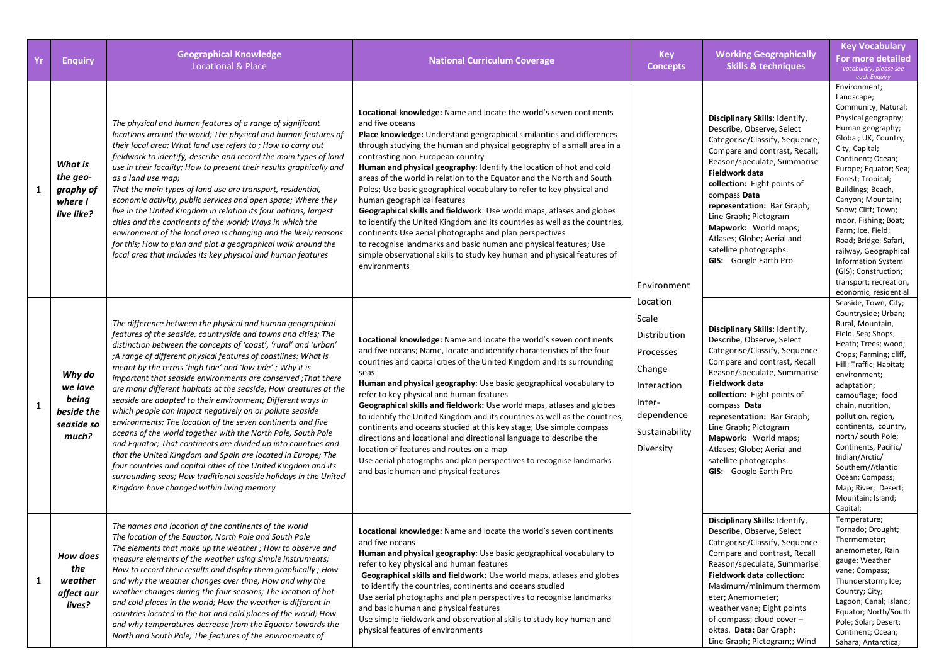| <b>Yr</b> | <b>Enquiry</b>                                                  | <b>Geographical Knowledge</b><br><b>Locational &amp; Place</b>                                                                                                                                                                                                                                                                                                                                                                                                                                                                                                                                                                                                                                                                                                                                                                                                                                                                                                                                                                                      | <b>National Curriculum Coverage</b>                                                                                                                                                                                                                                                                                                                                                                                                                                                                                                                                                                                                                                                                                                                                                                                                                                                                                    | <b>Key</b><br><b>Concepts</b>                                                                                                  | <b>Working Geographically</b><br><b>Skills &amp; techniques</b>                                                                                                                                                                                                                                                                                                                                              | <b>Key Vocabulary</b><br><b>For more detailed</b><br>vocabulary, please see<br>each Enquiry                                                                                                                                                                                                                                                                                                                                                                                      |
|-----------|-----------------------------------------------------------------|-----------------------------------------------------------------------------------------------------------------------------------------------------------------------------------------------------------------------------------------------------------------------------------------------------------------------------------------------------------------------------------------------------------------------------------------------------------------------------------------------------------------------------------------------------------------------------------------------------------------------------------------------------------------------------------------------------------------------------------------------------------------------------------------------------------------------------------------------------------------------------------------------------------------------------------------------------------------------------------------------------------------------------------------------------|------------------------------------------------------------------------------------------------------------------------------------------------------------------------------------------------------------------------------------------------------------------------------------------------------------------------------------------------------------------------------------------------------------------------------------------------------------------------------------------------------------------------------------------------------------------------------------------------------------------------------------------------------------------------------------------------------------------------------------------------------------------------------------------------------------------------------------------------------------------------------------------------------------------------|--------------------------------------------------------------------------------------------------------------------------------|--------------------------------------------------------------------------------------------------------------------------------------------------------------------------------------------------------------------------------------------------------------------------------------------------------------------------------------------------------------------------------------------------------------|----------------------------------------------------------------------------------------------------------------------------------------------------------------------------------------------------------------------------------------------------------------------------------------------------------------------------------------------------------------------------------------------------------------------------------------------------------------------------------|
| 1         | What is<br>the geo-<br>graphy of<br>where I<br>live like?       | The physical and human features of a range of significant<br>locations around the world; The physical and human features of<br>their local area; What land use refers to; How to carry out<br>fieldwork to identify, describe and record the main types of land<br>use in their locality; How to present their results graphically and<br>as a land use map;<br>That the main types of land use are transport, residential,<br>economic activity, public services and open space; Where they<br>live in the United Kingdom in relation its four nations, largest<br>cities and the continents of the world; Ways in which the<br>environment of the local area is changing and the likely reasons<br>for this; How to plan and plot a geographical walk around the<br>local area that includes its key physical and human features                                                                                                                                                                                                                  | Locational knowledge: Name and locate the world's seven continents<br>and five oceans<br>Place knowledge: Understand geographical similarities and differences<br>through studying the human and physical geography of a small area in a<br>contrasting non-European country<br>Human and physical geography: Identify the location of hot and cold<br>areas of the world in relation to the Equator and the North and South<br>Poles; Use basic geographical vocabulary to refer to key physical and<br>human geographical features<br>Geographical skills and fieldwork: Use world maps, atlases and globes<br>to identify the United Kingdom and its countries as well as the countries,<br>continents Use aerial photographs and plan perspectives<br>to recognise landmarks and basic human and physical features; Use<br>simple observational skills to study key human and physical features of<br>environments | Environment                                                                                                                    | Disciplinary Skills: Identify,<br>Describe, Observe, Select<br>Categorise/Classify, Sequence;<br>Compare and contrast, Recall;<br>Reason/speculate, Summarise<br><b>Fieldwork data</b><br>collection: Eight points of<br>compass Data<br>representation: Bar Graph;<br>Line Graph; Pictogram<br><b>Mapwork:</b> World maps;<br>Atlases; Globe; Aerial and<br>satellite photographs.<br>GIS: Google Earth Pro | Environment;<br>Landscape;<br>Community; Natural;<br>Physical geography;<br>Human geography;<br>Global; UK, Country,<br>City, Capital;<br>Continent; Ocean;<br>Europe; Equator; Sea;<br>Forest; Tropical;<br>Buildings; Beach,<br>Canyon; Mountain;<br>Snow; Cliff; Town;<br>moor, Fishing; Boat;<br>Farm; Ice, Field;<br>Road; Bridge; Safari,<br>railway, Geographical<br><b>Information System</b><br>(GIS); Construction;<br>transport; recreation,<br>economic, residential |
| 1         | Why do<br>we love<br>being<br>beside the<br>seaside so<br>much? | The difference between the physical and human geographical<br>features of the seaside, countryside and towns and cities; The<br>distinction between the concepts of 'coast', 'rural' and 'urban'<br>;A range of different physical features of coastlines; What is<br>meant by the terms 'high tide' and 'low tide'; Why it is<br>important that seaside environments are conserved; That there<br>are many different habitats at the seaside; How creatures at the<br>seaside are adapted to their environment; Different ways in<br>which people can impact negatively on or pollute seaside<br>environments; The location of the seven continents and five<br>oceans of the world together with the North Pole, South Pole<br>and Equator; That continents are divided up into countries and<br>that the United Kingdom and Spain are located in Europe; The<br>four countries and capital cities of the United Kingdom and its<br>surrounding seas; How traditional seaside holidays in the United<br>Kingdom have changed within living memory | Locational knowledge: Name and locate the world's seven continents<br>and five oceans; Name, locate and identify characteristics of the four<br>countries and capital cities of the United Kingdom and its surrounding<br>seas<br>Human and physical geography: Use basic geographical vocabulary to<br>refer to key physical and human features<br>Geographical skills and fieldwork: Use world maps, atlases and globes<br>to identify the United Kingdom and its countries as well as the countries,<br>continents and oceans studied at this key stage; Use simple compass<br>directions and locational and directional language to describe the<br>location of features and routes on a map<br>Use aerial photographs and plan perspectives to recognise landmarks<br>and basic human and physical features                                                                                                       | Location<br>Scale<br>Distribution<br>Processes<br>Change<br>Interaction<br>Inter-<br>dependence<br>Sustainability<br>Diversity | Disciplinary Skills: Identify,<br>Describe, Observe, Select<br>Categorise/Classify, Sequence<br>Compare and contrast, Recall<br>Reason/speculate, Summarise<br>Fieldwork data<br>collection: Eight points of<br>compass Data<br>representation: Bar Graph;<br>Line Graph; Pictogram<br>Mapwork: World maps;<br>Atlases; Globe; Aerial and<br>satellite photographs.<br>GIS: Google Earth Pro                 | Seaside, Town, City;<br>Countryside; Urban;<br>Rural, Mountain,<br>Field, Sea; Shops,<br>Heath; Trees; wood;<br>Crops; Farming; cliff,<br>Hill; Traffic; Habitat;<br>environment;<br>adaptation;<br>camouflage; food<br>chain, nutrition,<br>pollution, region,<br>continents, country,<br>north/ south Pole;<br>Continents, Pacific/<br>Indian/Arctic/<br>Southern/Atlantic<br>Ocean; Compass;<br>Map; River; Desert;<br>Mountain; Island;<br>Capital;                          |
| 1         | <b>How does</b><br>the<br>weather<br>affect our<br>lives?       | The names and location of the continents of the world<br>The location of the Equator, North Pole and South Pole<br>The elements that make up the weather; How to observe and<br>measure elements of the weather using simple instruments;<br>How to record their results and display them graphically; How<br>and why the weather changes over time; How and why the<br>weather changes during the four seasons; The location of hot<br>and cold places in the world; How the weather is different in<br>countries located in the hot and cold places of the world; How<br>and why temperatures decrease from the Equator towards the<br>North and South Pole; The features of the environments of                                                                                                                                                                                                                                                                                                                                                  | <b>Locational knowledge:</b> Name and locate the world's seven continents<br>and five oceans<br>Human and physical geography: Use basic geographical vocabulary to<br>refer to key physical and human features<br>Geographical skills and fieldwork: Use world maps, atlases and globes<br>to identify the countries, continents and oceans studied<br>Use aerial photographs and plan perspectives to recognise landmarks<br>and basic human and physical features<br>Use simple fieldwork and observational skills to study key human and<br>physical features of environments                                                                                                                                                                                                                                                                                                                                       |                                                                                                                                | Disciplinary Skills: Identify,<br>Describe, Observe, Select<br>Categorise/Classify, Sequence<br>Compare and contrast, Recall<br>Reason/speculate, Summarise<br><b>Fieldwork data collection:</b><br>Maximum/minimum thermom<br>eter; Anemometer;<br>weather vane; Eight points<br>of compass; cloud cover -<br>oktas. Data: Bar Graph;<br>Line Graph; Pictogram;; Wind                                       | Temperature;<br>Tornado; Drought;<br>Thermometer;<br>anemometer, Rain<br>gauge; Weather<br>vane; Compass;<br>Thunderstorm; Ice;<br>Country; City;<br>Lagoon; Canal; Island;<br>Equator; North/South<br>Pole; Solar; Desert;<br>Continent; Ocean;<br>Sahara; Antarctica;                                                                                                                                                                                                          |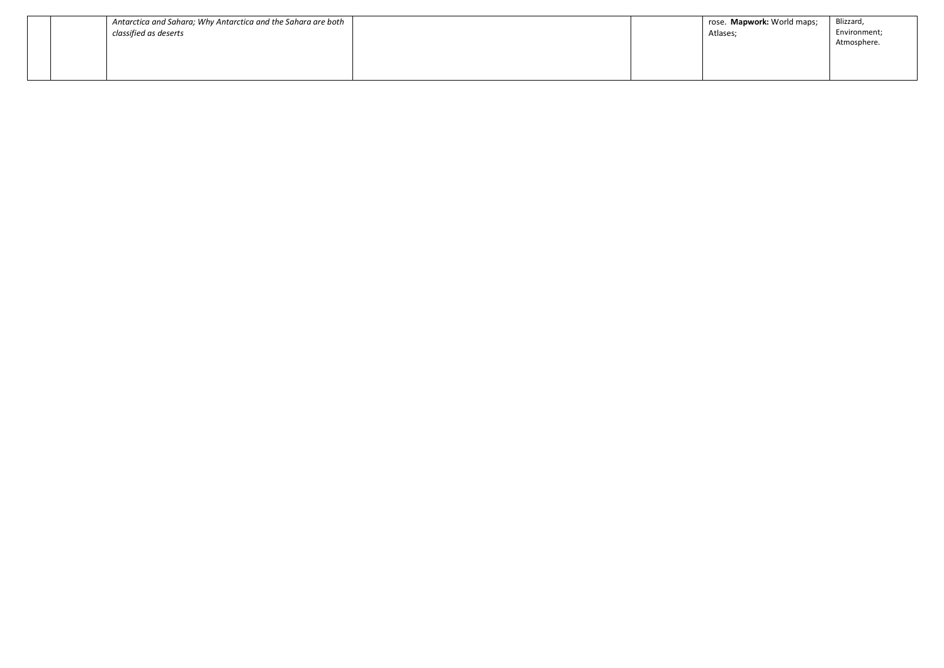|                       | Antarctica and Sahara; Why Antarctica and the Sahara are both |  | rose. Mapwork: World maps; | Blizzard,    |
|-----------------------|---------------------------------------------------------------|--|----------------------------|--------------|
| classified as deserts |                                                               |  | Atlases;                   | Environment; |
|                       |                                                               |  |                            | Atmosphere.  |
|                       |                                                               |  |                            |              |
|                       |                                                               |  |                            |              |
|                       |                                                               |  |                            |              |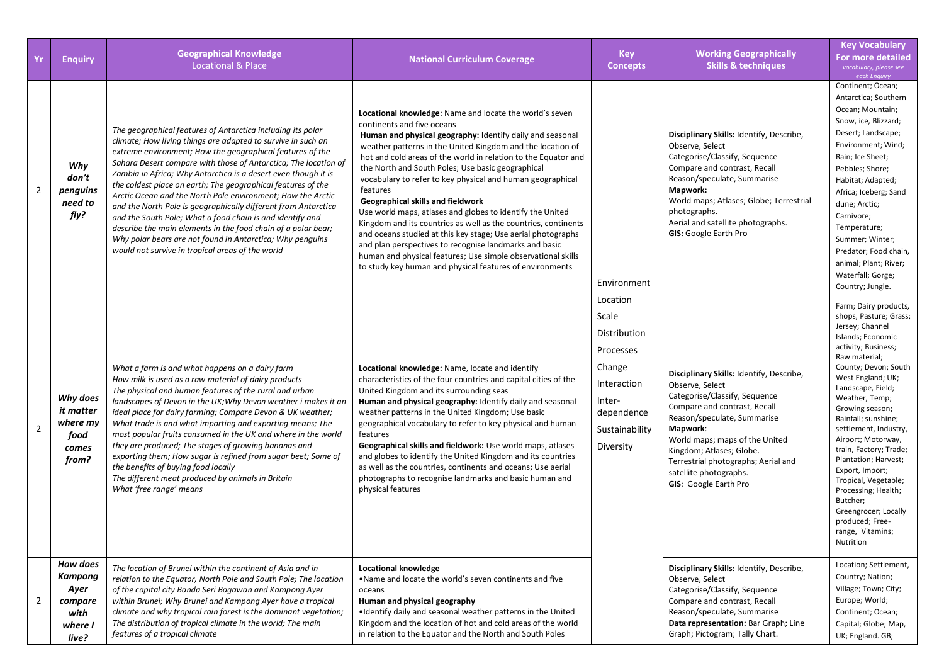| Yr             | <b>Enquiry</b>                                                            | <b>Geographical Knowledge</b><br><b>Locational &amp; Place</b>                                                                                                                                                                                                                                                                                                                                                                                                                                                                                                                                                                                                                                                                                                                | <b>National Curriculum Coverage</b>                                                                                                                                                                                                                                                                                                                                                                                                                                                                                                                                                                                                                                                                                                                                                                                                         | <b>Key</b><br><b>Concepts</b>                                                                                                                 | <b>Working Geographically</b><br><b>Skills &amp; techniques</b>                                                                                                                                                                                                                                                                        | <b>Key Vocabulary</b><br><b>For more detailed</b><br>vocabulary, please see<br>each Enquiry                                                                                                                                                                                                                                                                                                                                                                                                                              |
|----------------|---------------------------------------------------------------------------|-------------------------------------------------------------------------------------------------------------------------------------------------------------------------------------------------------------------------------------------------------------------------------------------------------------------------------------------------------------------------------------------------------------------------------------------------------------------------------------------------------------------------------------------------------------------------------------------------------------------------------------------------------------------------------------------------------------------------------------------------------------------------------|---------------------------------------------------------------------------------------------------------------------------------------------------------------------------------------------------------------------------------------------------------------------------------------------------------------------------------------------------------------------------------------------------------------------------------------------------------------------------------------------------------------------------------------------------------------------------------------------------------------------------------------------------------------------------------------------------------------------------------------------------------------------------------------------------------------------------------------------|-----------------------------------------------------------------------------------------------------------------------------------------------|----------------------------------------------------------------------------------------------------------------------------------------------------------------------------------------------------------------------------------------------------------------------------------------------------------------------------------------|--------------------------------------------------------------------------------------------------------------------------------------------------------------------------------------------------------------------------------------------------------------------------------------------------------------------------------------------------------------------------------------------------------------------------------------------------------------------------------------------------------------------------|
| $\overline{2}$ | Why<br>don't<br>penguins<br>need to<br>fly?                               | The geographical features of Antarctica including its polar<br>climate; How living things are adapted to survive in such an<br>extreme environment; How the geographical features of the<br>Sahara Desert compare with those of Antarctica; The location of<br>Zambia in Africa; Why Antarctica is a desert even though it is<br>the coldest place on earth; The geographical features of the<br>Arctic Ocean and the North Pole environment; How the Arctic<br>and the North Pole is geographically different from Antarctica<br>and the South Pole; What a food chain is and identify and<br>describe the main elements in the food chain of a polar bear;<br>Why polar bears are not found in Antarctica; Why penguins<br>would not survive in tropical areas of the world | Locational knowledge: Name and locate the world's seven<br>continents and five oceans<br>Human and physical geography: Identify daily and seasonal<br>weather patterns in the United Kingdom and the location of<br>hot and cold areas of the world in relation to the Equator and<br>the North and South Poles; Use basic geographical<br>vocabulary to refer to key physical and human geographical<br>features<br>Geographical skills and fieldwork<br>Use world maps, atlases and globes to identify the United<br>Kingdom and its countries as well as the countries, continents<br>and oceans studied at this key stage; Use aerial photographs<br>and plan perspectives to recognise landmarks and basic<br>human and physical features; Use simple observational skills<br>to study key human and physical features of environments | Environment<br>Location<br>Scale<br>Distribution<br>Processes<br>Change<br>Interaction<br>Inter-<br>dependence<br>Sustainability<br>Diversity | Disciplinary Skills: Identify, Describe,<br>Observe, Select<br>Categorise/Classify, Sequence<br>Compare and contrast, Recall<br>Reason/speculate, Summarise<br>Mapwork:<br>World maps; Atlases; Globe; Terrestrial<br>photographs.<br>Aerial and satellite photographs.<br><b>GIS: Google Earth Pro</b>                                | Continent; Ocean;<br>Antarctica; Southern<br>Ocean; Mountain;<br>Snow, ice, Blizzard;<br>Desert; Landscape;<br>Environment; Wind;<br>Rain; Ice Sheet;<br>Pebbles; Shore;<br>Habitat; Adapted;<br>Africa; Iceberg; Sand<br>dune; Arctic;<br>Carnivore;<br>Temperature;<br>Summer; Winter;<br>Predator; Food chain,<br>animal; Plant; River;<br>Waterfall; Gorge;<br>Country; Jungle.                                                                                                                                      |
| $\overline{2}$ | Why does<br>it matter<br>where my<br>food<br>comes<br>from?               | What a farm is and what happens on a dairy farm<br>How milk is used as a raw material of dairy products<br>The physical and human features of the rural and urban<br>landscapes of Devon in the UK; Why Devon weather i makes it an<br>ideal place for dairy farming; Compare Devon & UK weather;<br>What trade is and what importing and exporting means; The<br>most popular fruits consumed in the UK and where in the world<br>they are produced; The stages of growing bananas and<br>exporting them; How sugar is refined from sugar beet; Some of<br>the benefits of buying food locally<br>The different meat produced by animals in Britain<br>What 'free range' means                                                                                               | Locational knowledge: Name, locate and identify<br>characteristics of the four countries and capital cities of the<br>United Kingdom and its surrounding seas<br>Human and physical geography: Identify daily and seasonal<br>weather patterns in the United Kingdom; Use basic<br>geographical vocabulary to refer to key physical and human<br>features<br>Geographical skills and fieldwork: Use world maps, atlases<br>and globes to identify the United Kingdom and its countries<br>as well as the countries, continents and oceans; Use aerial<br>photographs to recognise landmarks and basic human and<br>physical features                                                                                                                                                                                                        |                                                                                                                                               | Disciplinary Skills: Identify, Describe,<br>Observe, Select<br>Categorise/Classify, Sequence<br>Compare and contrast, Recall<br>Reason/speculate, Summarise<br>Mapwork:<br>World maps; maps of the United<br>Kingdom; Atlases; Globe.<br>Terrestrial photographs; Aerial and<br>satellite photographs.<br><b>GIS: Google Earth Pro</b> | Farm; Dairy products,<br>shops, Pasture; Grass;<br>Jersey; Channel<br>Islands; Economic<br>activity; Business;<br>Raw material;<br>County; Devon; South<br>West England; UK;<br>Landscape, Field;<br>Weather, Temp;<br>Growing season;<br>Rainfall; sunshine;<br>settlement, Industry,<br>Airport; Motorway,<br>train, Factory; Trade;<br>Plantation; Harvest;<br>Export, Import;<br>Tropical, Vegetable;<br>Processing; Health;<br>Butcher;<br>Greengrocer; Locally<br>produced; Free-<br>range, Vitamins;<br>Nutrition |
| 2              | <b>How does</b><br>Kampong<br>Ayer<br>compare<br>with<br>where I<br>live? | The location of Brunei within the continent of Asia and in<br>relation to the Equator, North Pole and South Pole; The location<br>of the capital city Banda Seri Bagawan and Kampong Ayer<br>within Brunei; Why Brunei and Kampong Ayer have a tropical<br>climate and why tropical rain forest is the dominant vegetation;<br>The distribution of tropical climate in the world; The main<br>features of a tropical climate                                                                                                                                                                                                                                                                                                                                                  | <b>Locational knowledge</b><br>. Name and locate the world's seven continents and five<br>oceans<br>Human and physical geography<br>. Identify daily and seasonal weather patterns in the United<br>Kingdom and the location of hot and cold areas of the world<br>in relation to the Equator and the North and South Poles                                                                                                                                                                                                                                                                                                                                                                                                                                                                                                                 |                                                                                                                                               | Disciplinary Skills: Identify, Describe,<br>Observe, Select<br>Categorise/Classify, Sequence<br>Compare and contrast, Recall<br>Reason/speculate, Summarise<br>Data representation: Bar Graph; Line<br>Graph; Pictogram; Tally Chart.                                                                                                  | Location; Settlement,<br>Country; Nation;<br>Village; Town; City;<br>Europe; World;<br>Continent; Ocean;<br>Capital; Globe; Map,<br>UK; England. GB;                                                                                                                                                                                                                                                                                                                                                                     |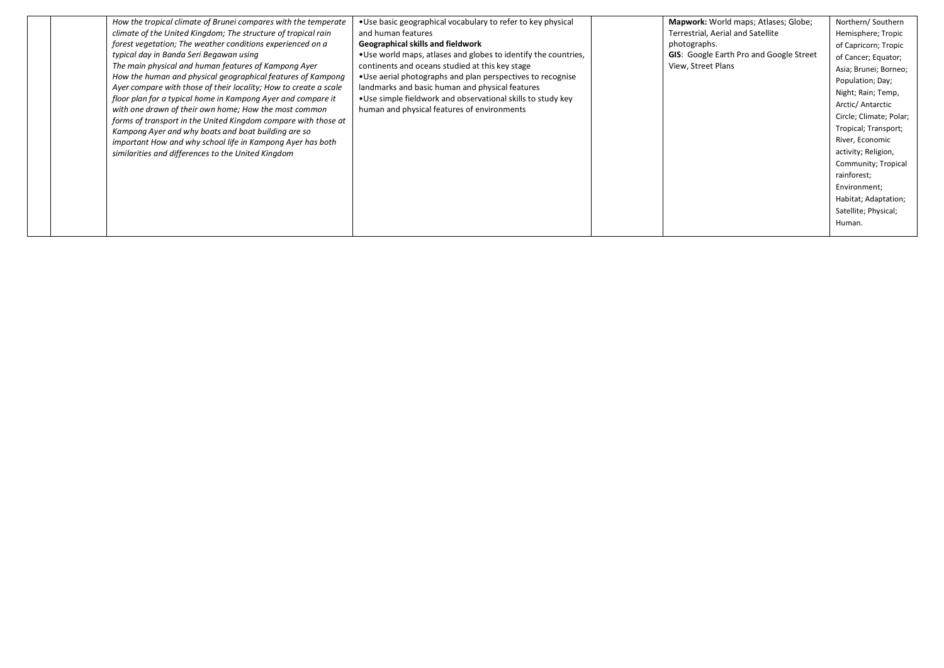| How the tropical climate of Brunei compares with the temperate   | • Use basic geographical vocabulary to refer to key physical    | Mapwork: World maps; Atlases; Globe;           | Northern/Southern       |
|------------------------------------------------------------------|-----------------------------------------------------------------|------------------------------------------------|-------------------------|
| climate of the United Kingdom; The structure of tropical rain    | and human features                                              | Terrestrial, Aerial and Satellite              | Hemisphere; Tropic      |
| forest vegetation; The weather conditions experienced on a       | Geographical skills and fieldwork                               | photographs.                                   | of Capricorn; Tropic    |
| typical day in Banda Seri Begawan using                          | . Use world maps, atlases and globes to identify the countries, | <b>GIS:</b> Google Earth Pro and Google Street | of Cancer; Equator;     |
| The main physical and human features of Kampong Ayer             | continents and oceans studied at this key stage                 | View, Street Plans                             | Asia; Brunei; Borneo;   |
| How the human and physical geographical features of Kampong      | • Use aerial photographs and plan perspectives to recognise     |                                                | Population; Day;        |
| Ayer compare with those of their locality; How to create a scale | landmarks and basic human and physical features                 |                                                | Night; Rain; Temp,      |
| floor plan for a typical home in Kampong Ayer and compare it     | • Use simple fieldwork and observational skills to study key    |                                                | Arctic/ Antarctic       |
| with one drawn of their own home; How the most common            | human and physical features of environments                     |                                                | Circle; Climate; Polar; |
| forms of transport in the United Kingdom compare with those at   |                                                                 |                                                | Tropical; Transport;    |
| Kampong Ayer and why boats and boat building are so              |                                                                 |                                                | River, Economic         |
| important How and why school life in Kampong Ayer has both       |                                                                 |                                                |                         |
| similarities and differences to the United Kingdom               |                                                                 |                                                | activity; Religion,     |
|                                                                  |                                                                 |                                                | Community; Tropical     |
|                                                                  |                                                                 |                                                | rainforest;             |
|                                                                  |                                                                 |                                                | Environment;            |
|                                                                  |                                                                 |                                                | Habitat; Adaptation;    |
|                                                                  |                                                                 |                                                | Satellite; Physical;    |
|                                                                  |                                                                 |                                                | Human.                  |
|                                                                  |                                                                 |                                                |                         |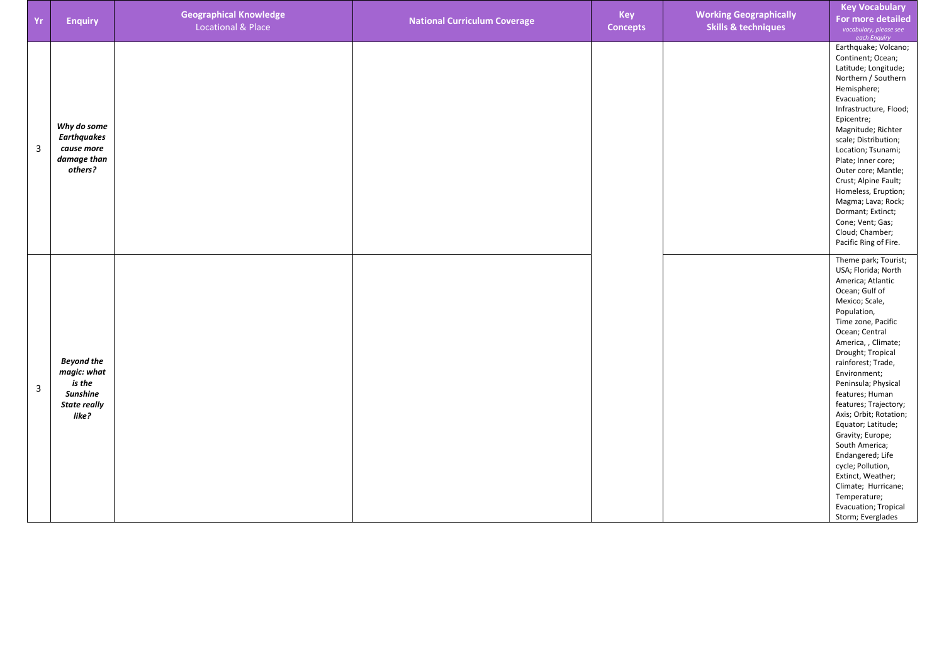| Yr | <b>Enquiry</b>                                                                                | <b>Geographical Knowledge</b><br><b>Locational &amp; Place</b> | <b>National Curriculum Coverage</b> | Key<br><b>Concepts</b> | <b>Working Geographically</b><br><b>Skills &amp; techniques</b> | <b>Key Vocabulary</b><br>For more detailed<br>vocabulary, please see<br>each Enquiry                                                                                                                                                                                                                                                                                                                                                                                                                                                                     |
|----|-----------------------------------------------------------------------------------------------|----------------------------------------------------------------|-------------------------------------|------------------------|-----------------------------------------------------------------|----------------------------------------------------------------------------------------------------------------------------------------------------------------------------------------------------------------------------------------------------------------------------------------------------------------------------------------------------------------------------------------------------------------------------------------------------------------------------------------------------------------------------------------------------------|
| 3  | Why do some<br><b>Earthquakes</b><br>cause more<br>damage than<br>others?                     |                                                                |                                     |                        |                                                                 | Earthquake; Volcano;<br>Continent; Ocean;<br>Latitude; Longitude;<br>Northern / Southern<br>Hemisphere;<br>Evacuation;<br>Infrastructure, Flood;<br>Epicentre;<br>Magnitude; Richter<br>scale; Distribution;<br>Location; Tsunami;<br>Plate; Inner core;<br>Outer core; Mantle;<br>Crust; Alpine Fault;<br>Homeless, Eruption;<br>Magma; Lava; Rock;<br>Dormant; Extinct;<br>Cone; Vent; Gas;<br>Cloud; Chamber;<br>Pacific Ring of Fire.                                                                                                                |
| 3  | <b>Beyond the</b><br>magic: what<br>is the<br><b>Sunshine</b><br><b>State really</b><br>like? |                                                                |                                     |                        |                                                                 | Theme park; Tourist;<br>USA; Florida; North<br>America; Atlantic<br>Ocean; Gulf of<br>Mexico; Scale,<br>Population,<br>Time zone, Pacific<br>Ocean; Central<br>America, , Climate;<br>Drought; Tropical<br>rainforest; Trade,<br>Environment;<br>Peninsula; Physical<br>features; Human<br>features; Trajectory;<br>Axis; Orbit; Rotation;<br>Equator; Latitude;<br>Gravity; Europe;<br>South America;<br>Endangered; Life<br>cycle; Pollution,<br>Extinct, Weather;<br>Climate; Hurricane;<br>Temperature;<br>Evacuation; Tropical<br>Storm; Everglades |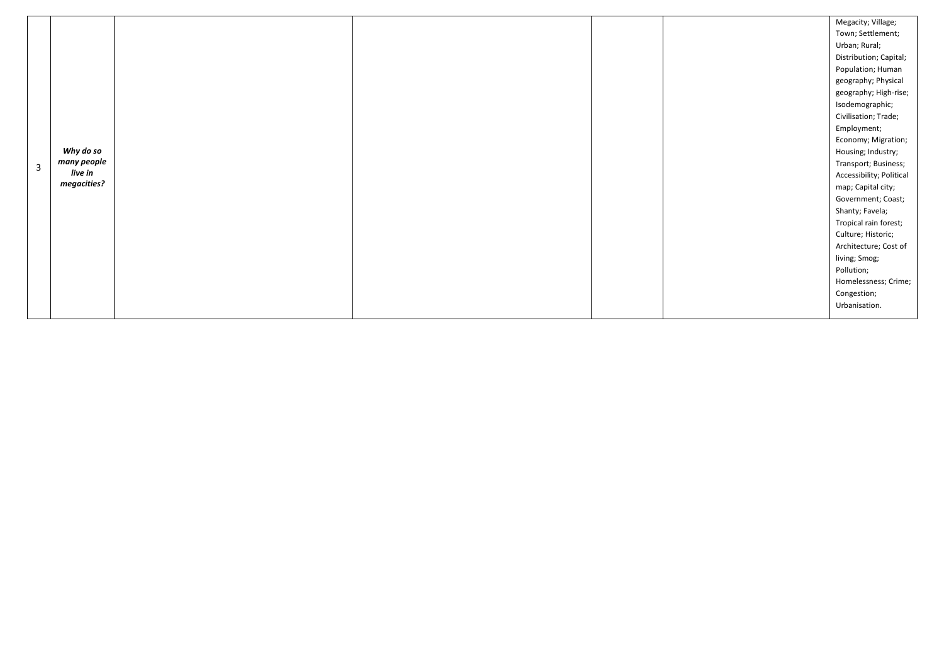|                |             |  | Megacity; Village;       |
|----------------|-------------|--|--------------------------|
|                |             |  | Town; Settlement;        |
|                |             |  | Urban; Rural;            |
|                |             |  | Distribution; Capital;   |
|                |             |  | Population; Human        |
|                |             |  | geography; Physical      |
|                |             |  | geography; High-rise;    |
|                |             |  | Isodemographic;          |
|                |             |  | Civilisation; Trade;     |
|                |             |  | Employment;              |
|                |             |  | Economy; Migration;      |
|                | Why do so   |  | Housing; Industry;       |
| $\overline{3}$ | many people |  | Transport; Business;     |
|                | live in     |  | Accessibility; Political |
|                | megacities? |  | map; Capital city;       |
|                |             |  | Government; Coast;       |
|                |             |  | Shanty; Favela;          |
|                |             |  | Tropical rain forest;    |
|                |             |  | Culture; Historic;       |
|                |             |  | Architecture; Cost of    |
|                |             |  | living; Smog;            |
|                |             |  | Pollution;               |
|                |             |  | Homelessness; Crime;     |
|                |             |  | Congestion;              |
|                |             |  | Urbanisation.            |
|                |             |  |                          |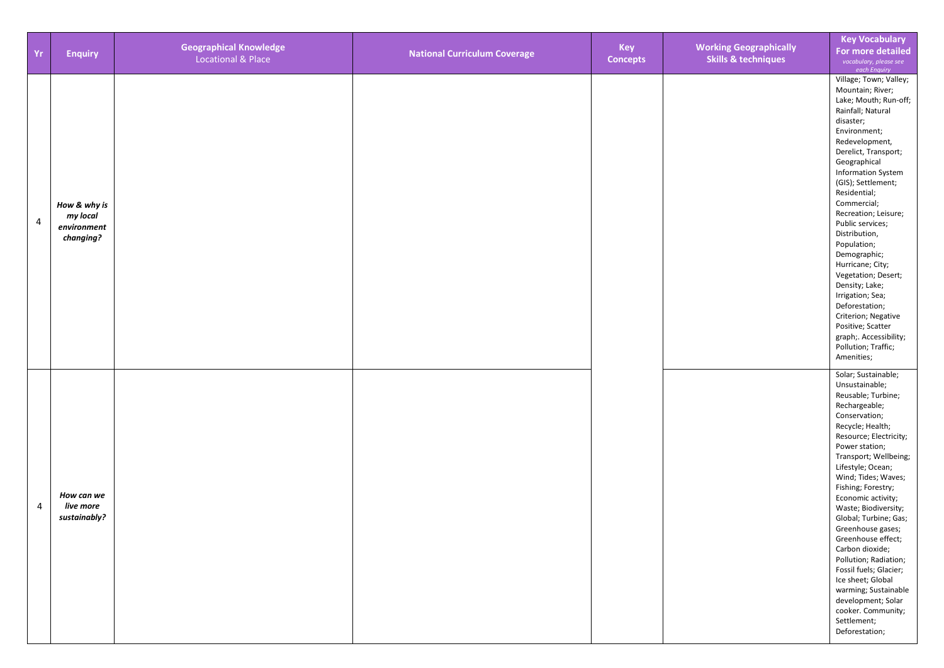| Yr             | <b>Enquiry</b>                                       | <b>Geographical Knowledge</b><br><b>Locational &amp; Place</b> | <b>National Curriculum Coverage</b> | Key<br><b>Concepts</b> | <b>Working Geographically</b><br><b>Skills &amp; techniques</b> | <b>Key Vocabulary</b><br>For more detailed<br>vocabulary, please see<br>each Enquiry                                                                                                                                                                                                                                                                                                                                                                                                                                                                                       |
|----------------|------------------------------------------------------|----------------------------------------------------------------|-------------------------------------|------------------------|-----------------------------------------------------------------|----------------------------------------------------------------------------------------------------------------------------------------------------------------------------------------------------------------------------------------------------------------------------------------------------------------------------------------------------------------------------------------------------------------------------------------------------------------------------------------------------------------------------------------------------------------------------|
| $\overline{4}$ | How & why is<br>my local<br>environment<br>changing? |                                                                |                                     |                        |                                                                 | Village; Town; Valley;<br>Mountain; River;<br>Lake; Mouth; Run-off;<br>Rainfall; Natural<br>disaster;<br>Environment;<br>Redevelopment,<br>Derelict, Transport;<br>Geographical<br><b>Information System</b><br>(GIS); Settlement;<br>Residential;<br>Commercial;<br>Recreation; Leisure;<br>Public services;<br>Distribution,<br>Population;<br>Demographic;<br>Hurricane; City;<br>Vegetation; Desert;<br>Density; Lake;<br>Irrigation; Sea;<br>Deforestation;<br>Criterion; Negative<br>Positive; Scatter<br>graph; Accessibility;<br>Pollution; Traffic;<br>Amenities; |
| $\overline{4}$ | How can we<br>live more<br>sustainably?              |                                                                |                                     |                        |                                                                 | Solar; Sustainable;<br>Unsustainable;<br>Reusable; Turbine;<br>Rechargeable;<br>Conservation;<br>Recycle; Health;<br>Resource; Electricity;<br>Power station;<br>Transport; Wellbeing;<br>Lifestyle; Ocean;<br>Wind; Tides; Waves;<br>Fishing; Forestry;<br>Economic activity;<br>Waste; Biodiversity;<br>Global; Turbine; Gas;<br>Greenhouse gases;<br>Greenhouse effect;<br>Carbon dioxide;<br>Pollution; Radiation;<br>Fossil fuels; Glacier;<br>Ice sheet; Global<br>warming; Sustainable<br>development; Solar<br>cooker. Community;<br>Settlement;<br>Deforestation; |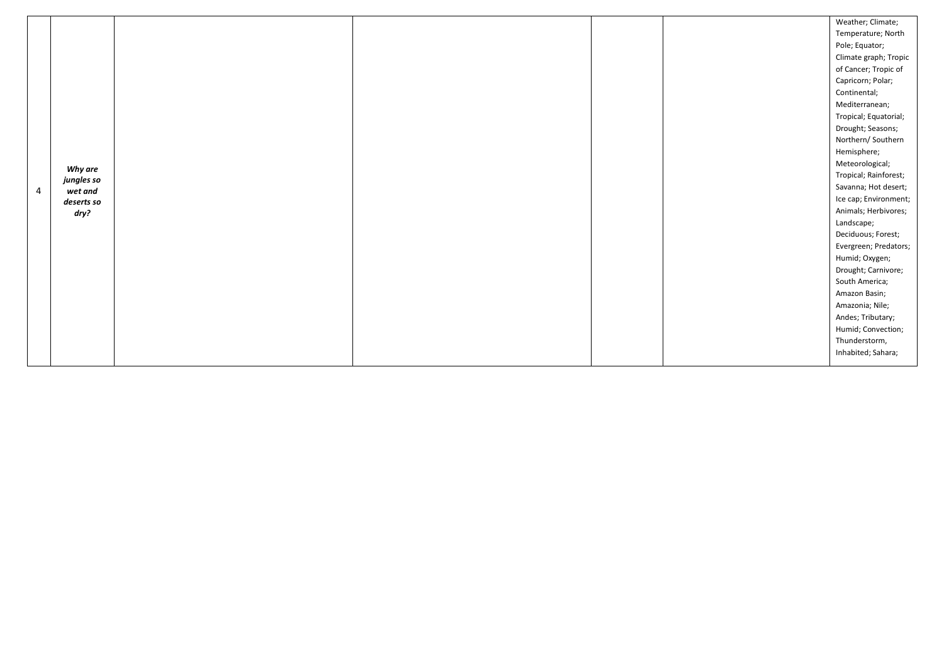|                |            |  |  | Weather; Climate;     |
|----------------|------------|--|--|-----------------------|
|                |            |  |  | Temperature; North    |
|                |            |  |  | Pole; Equator;        |
|                |            |  |  | Climate graph; Tropic |
|                |            |  |  | of Cancer; Tropic of  |
|                |            |  |  | Capricorn; Polar;     |
|                |            |  |  | Continental;          |
|                |            |  |  | Mediterranean;        |
|                |            |  |  | Tropical; Equatorial; |
|                |            |  |  | Drought; Seasons;     |
|                |            |  |  | Northern/Southern     |
|                |            |  |  | Hemisphere;           |
|                | Why are    |  |  | Meteorological;       |
|                | jungles so |  |  | Tropical; Rainforest; |
| $\overline{4}$ | wet and    |  |  | Savanna; Hot desert;  |
|                | deserts so |  |  | Ice cap; Environment; |
|                | dry?       |  |  | Animals; Herbivores;  |
|                |            |  |  | Landscape;            |
|                |            |  |  | Deciduous; Forest;    |
|                |            |  |  | Evergreen; Predators; |
|                |            |  |  | Humid; Oxygen;        |
|                |            |  |  | Drought; Carnivore;   |
|                |            |  |  | South America;        |
|                |            |  |  | Amazon Basin;         |
|                |            |  |  | Amazonia; Nile;       |
|                |            |  |  | Andes; Tributary;     |
|                |            |  |  | Humid; Convection;    |
|                |            |  |  | Thunderstorm,         |
|                |            |  |  | Inhabited; Sahara;    |
|                |            |  |  |                       |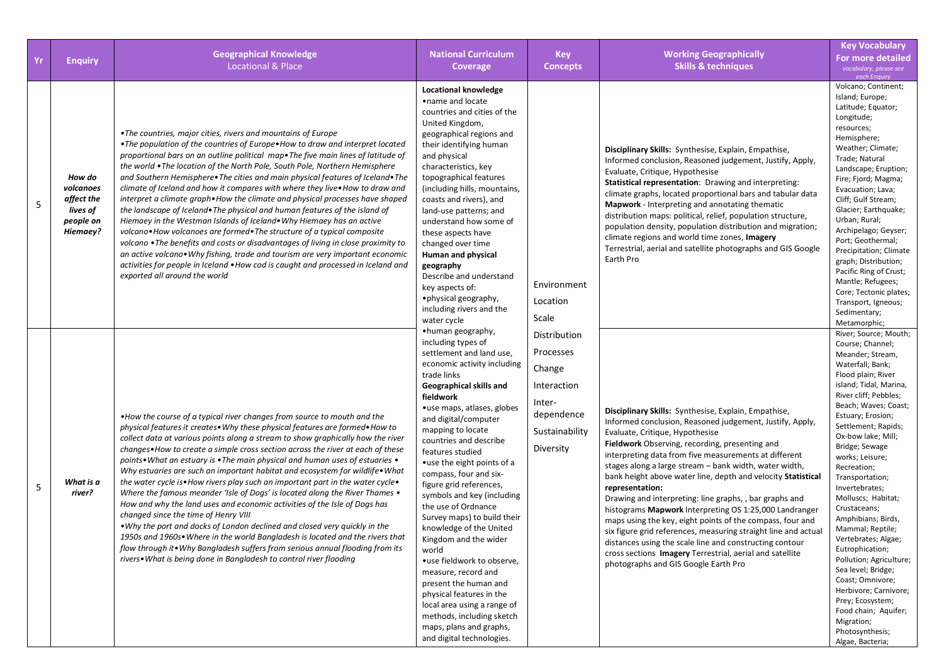| Yr         | <b>Enquiry</b>                                                         | <b>Geographical Knowledge</b><br><b>Locational &amp; Place</b>                                                                                                                                                                                                                                                                                                                                                                                                                                                                                                                                                                                                                                                                                                                                                                                                                                                                                                                                                                                                                                                 | <b>National Curriculum</b><br>Coverage                                                                                                                                                                                                                                                                                                                                                                                                                                                                                                                                                                                                                                                                                                               | <b>Key</b><br><b>Concepts</b>                                                                             | <b>Working Geographically</b><br><b>Skills &amp; techniques</b>                                                                                                                                                                                                                                                                                                                                                                                                                                                                                                                                                                                                                                                                                                                                                                | <b>Key Vocabulary</b><br><b>For more detailed</b><br>vocabulary, please see<br>each Enquiry                                                                                                                                                                                                                                                                                                                                                                                                                                                                                                                                                                            |
|------------|------------------------------------------------------------------------|----------------------------------------------------------------------------------------------------------------------------------------------------------------------------------------------------------------------------------------------------------------------------------------------------------------------------------------------------------------------------------------------------------------------------------------------------------------------------------------------------------------------------------------------------------------------------------------------------------------------------------------------------------------------------------------------------------------------------------------------------------------------------------------------------------------------------------------------------------------------------------------------------------------------------------------------------------------------------------------------------------------------------------------------------------------------------------------------------------------|------------------------------------------------------------------------------------------------------------------------------------------------------------------------------------------------------------------------------------------------------------------------------------------------------------------------------------------------------------------------------------------------------------------------------------------------------------------------------------------------------------------------------------------------------------------------------------------------------------------------------------------------------------------------------------------------------------------------------------------------------|-----------------------------------------------------------------------------------------------------------|--------------------------------------------------------------------------------------------------------------------------------------------------------------------------------------------------------------------------------------------------------------------------------------------------------------------------------------------------------------------------------------------------------------------------------------------------------------------------------------------------------------------------------------------------------------------------------------------------------------------------------------------------------------------------------------------------------------------------------------------------------------------------------------------------------------------------------|------------------------------------------------------------------------------------------------------------------------------------------------------------------------------------------------------------------------------------------------------------------------------------------------------------------------------------------------------------------------------------------------------------------------------------------------------------------------------------------------------------------------------------------------------------------------------------------------------------------------------------------------------------------------|
| 5          | How do<br>volcanoes<br>affect the<br>lives of<br>people on<br>Hiemaey? | .The countries, major cities, rivers and mountains of Europe<br>•The population of the countries of Europe•How to draw and interpret located<br>proportional bars on an outline political map. The five main lines of latitude of<br>the world • The location of the North Pole, South Pole, Northern Hemisphere<br>and Southern Hemisphere. The cities and main physical features of Iceland. The<br>climate of Iceland and how it compares with where they live. How to draw and<br>interpret a climate graph. How the climate and physical processes have shaped<br>the landscape of Iceland• The physical and human features of the island of<br>Hiemaey in the Westman Islands of Iceland. Why Hiemaey has an active<br>volcano•How volcanoes are formed•The structure of a typical composite<br>volcano .The benefits and costs or disadvantages of living in close proximity to<br>an active volcano. Why fishing, trade and tourism are very important economic<br>activities for people in Iceland . How cod is caught and processed in Iceland and<br>exported all around the world                  | Locational knowledge<br>•name and locate<br>countries and cities of the<br>United Kingdom,<br>geographical regions and<br>their identifying human<br>and physical<br>characteristics, key<br>topographical features<br>(including hills, mountains,<br>coasts and rivers), and<br>land-use patterns; and<br>understand how some of<br>these aspects have<br>changed over time<br>Human and physical<br>geography<br>Describe and understand<br>key aspects of:<br>•physical geography,<br>including rivers and the<br>water cycle                                                                                                                                                                                                                    | Environment<br>Location<br>Scale                                                                          | Disciplinary Skills: Synthesise, Explain, Empathise,<br>Informed conclusion, Reasoned judgement, Justify, Apply,<br>Evaluate, Critique, Hypothesise<br>Statistical representation: Drawing and interpreting:<br>climate graphs, located proportional bars and tabular data<br>Mapwork - Interpreting and annotating thematic<br>distribution maps: political, relief, population structure,<br>population density, population distribution and migration;<br>climate regions and world time zones, Imagery<br>Terrestrial, aerial and satellite photographs and GIS Google<br>Earth Pro                                                                                                                                                                                                                                        | Volcano; Continent;<br>Island; Europe;<br>Latitude; Equator;<br>Longitude;<br>resources;<br>Hemisphere;<br>Weather; Climate;<br>Trade; Natural<br>Landscape; Eruption;<br>Fire; Fjord; Magma;<br>Evacuation; Lava;<br>Cliff; Gulf Stream;<br>Glacier; Earthquake;<br>Urban; Rural;<br>Archipelago; Geyser;<br>Port; Geothermal;<br>Precipitation; Climate<br>graph; Distribution;<br>Pacific Ring of Crust;<br>Mantle; Refugees;<br>Core; Tectonic plates;<br>Transport, Igneous;<br>Sedimentary;<br>Metamorphic;                                                                                                                                                      |
| $\sqrt{5}$ | What is a<br>river?                                                    | • How the course of a typical river changes from source to mouth and the<br>physical features it creates. Why these physical features are formed. How to<br>collect data at various points along a stream to show graphically how the river<br>changes. How to create a simple cross section across the river at each of these<br>points• What an estuary is • The main physical and human uses of estuaries •<br>Why estuaries are such an important habitat and ecosystem for wildlife . What<br>the water cycle is • How rivers play such an important part in the water cycle •<br>Where the famous meander 'Isle of Dogs' is located along the River Thames .<br>How and why the land uses and economic activities of the Isle of Dogs has<br>changed since the time of Henry VIII<br>. Why the port and docks of London declined and closed very quickly in the<br>1950s and 1960s. Where in the world Bangladesh is located and the rivers that<br>flow through it . Why Bangladesh suffers from serious annual flooding from its<br>rivers• What is being done in Bangladesh to control river flooding | •human geography,<br>including types of<br>settlement and land use,<br>economic activity including<br>trade links<br>Geographical skills and<br>fieldwork<br>•use maps, atlases, globes<br>and digital/computer<br>mapping to locate<br>countries and describe<br>features studied<br>•use the eight points of a<br>compass, four and six-<br>figure grid references,<br>symbols and key (including<br>the use of Ordnance<br>Survey maps) to build their<br>knowledge of the United<br>Kingdom and the wider<br>world<br>•use fieldwork to observe,<br>measure, record and<br>present the human and<br>physical features in the<br>local area using a range of<br>methods, including sketch<br>maps, plans and graphs,<br>and digital technologies. | Distribution<br>Processes<br>Change<br>Interaction<br>Inter-<br>dependence<br>Sustainability<br>Diversity | Disciplinary Skills: Synthesise, Explain, Empathise,<br>Informed conclusion, Reasoned judgement, Justify, Apply,<br>Evaluate, Critique, Hypothesise<br>Fieldwork Observing, recording, presenting and<br>interpreting data from five measurements at different<br>stages along a large stream - bank width, water width,<br>bank height above water line, depth and velocity Statistical<br>representation:<br>Drawing and interpreting: line graphs, , bar graphs and<br>histograms Mapwork Interpreting OS 1:25,000 Landranger<br>maps using the key, eight points of the compass, four and<br>six figure grid references, measuring straight line and actual<br>distances using the scale line and constructing contour<br>cross sections Imagery Terrestrial, aerial and satellite<br>photographs and GIS Google Earth Pro | River; Source; Mouth;<br>Course; Channel;<br>Meander; Stream,<br>Waterfall; Bank;<br>Flood plain; River<br>island; Tidal, Marina,<br>River cliff; Pebbles;<br>Beach; Waves; Coast;<br>Estuary; Erosion;<br>Settlement; Rapids;<br>Ox-bow lake; Mill;<br>Bridge; Sewage<br>works; Leisure;<br>Recreation;<br>Transportation;<br>Invertebrates;<br>Molluscs; Habitat;<br>Crustaceans;<br>Amphibians; Birds,<br>Mammal; Reptile;<br>Vertebrates; Algae;<br>Eutrophication;<br>Pollution; Agriculture;<br>Sea level; Bridge;<br>Coast; Omnivore;<br>Herbivore; Carnivore;<br>Prey; Ecosystem;<br>Food chain; Aquifer;<br>Migration;<br>Photosynthesis;<br>Algae, Bacteria; |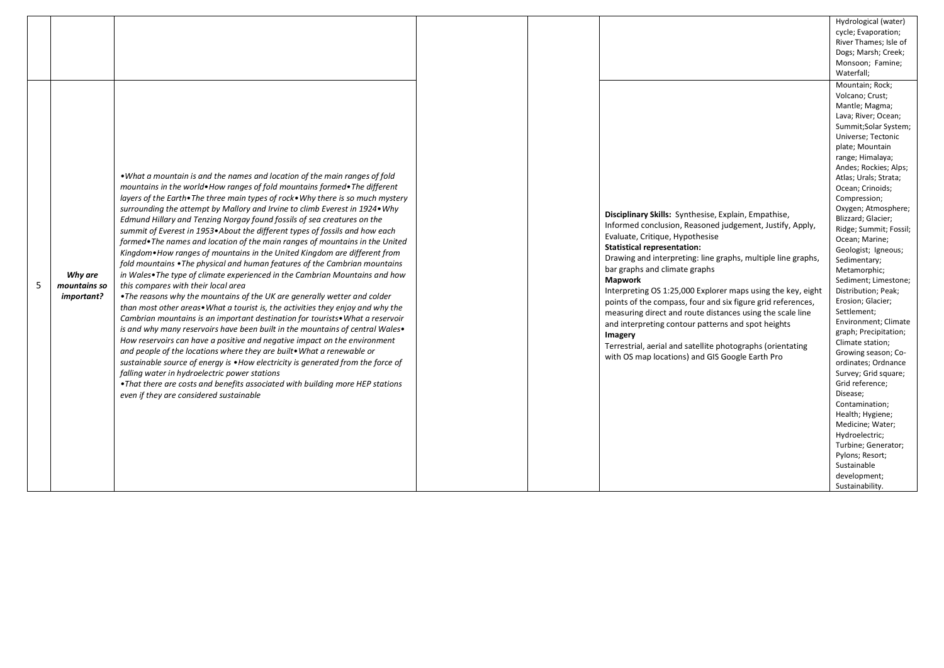|   |                                       |                                                                                                                                                                                                                                                                                                                                                                                                                                                                                                                                                                                                                                                                                                                                                                                                                                                                                                                                                                                                                                                                                                                                                                                                                                                                                                                                                                                                                                                                                                                                                                                                                  |  |                                                                                                                                                                                                                                                                                                                                                                                                                                                                                                                                                                                                                                                                                           | Hydrological (water)<br>cycle; Evaporation;<br>River Thames; Isle of<br>Dogs; Marsh; Creek;<br>Monsoon; Famine;<br>Waterfall;                                                                                                                                                                                                                                                                                                                                                                                                                                                                                                                                                                                                                                                                                                               |
|---|---------------------------------------|------------------------------------------------------------------------------------------------------------------------------------------------------------------------------------------------------------------------------------------------------------------------------------------------------------------------------------------------------------------------------------------------------------------------------------------------------------------------------------------------------------------------------------------------------------------------------------------------------------------------------------------------------------------------------------------------------------------------------------------------------------------------------------------------------------------------------------------------------------------------------------------------------------------------------------------------------------------------------------------------------------------------------------------------------------------------------------------------------------------------------------------------------------------------------------------------------------------------------------------------------------------------------------------------------------------------------------------------------------------------------------------------------------------------------------------------------------------------------------------------------------------------------------------------------------------------------------------------------------------|--|-------------------------------------------------------------------------------------------------------------------------------------------------------------------------------------------------------------------------------------------------------------------------------------------------------------------------------------------------------------------------------------------------------------------------------------------------------------------------------------------------------------------------------------------------------------------------------------------------------------------------------------------------------------------------------------------|---------------------------------------------------------------------------------------------------------------------------------------------------------------------------------------------------------------------------------------------------------------------------------------------------------------------------------------------------------------------------------------------------------------------------------------------------------------------------------------------------------------------------------------------------------------------------------------------------------------------------------------------------------------------------------------------------------------------------------------------------------------------------------------------------------------------------------------------|
| 5 | Why are<br>mountains so<br>important? | • What a mountain is and the names and location of the main ranges of fold<br>mountains in the world. How ranges of fold mountains formed. The different<br>layers of the Earth. The three main types of rock. Why there is so much mystery<br>surrounding the attempt by Mallory and Irvine to climb Everest in 1924• Why<br>Edmund Hillary and Tenzing Norgay found fossils of sea creatures on the<br>summit of Everest in 1953. About the different types of fossils and how each<br>formed. The names and location of the main ranges of mountains in the United<br>Kingdom. How ranges of mountains in the United Kingdom are different from<br>fold mountains . The physical and human features of the Cambrian mountains<br>in Wales. The type of climate experienced in the Cambrian Mountains and how<br>this compares with their local area<br>• The reasons why the mountains of the UK are generally wetter and colder<br>than most other areas. What a tourist is, the activities they enjoy and why the<br>Cambrian mountains is an important destination for tourists. What a reservoir<br>is and why many reservoirs have been built in the mountains of central Wales.<br>How reservoirs can have a positive and negative impact on the environment<br>and people of the locations where they are built. What a renewable or<br>sustainable source of energy is . How electricity is generated from the force of<br>falling water in hydroelectric power stations<br>. That there are costs and benefits associated with building more HEP stations<br>even if they are considered sustainable |  | Disciplinary Skills: Synthesise, Explain, Empathise,<br>Informed conclusion, Reasoned judgement, Justify, Apply,<br>Evaluate, Critique, Hypothesise<br><b>Statistical representation:</b><br>Drawing and interpreting: line graphs, multiple line graphs,<br>bar graphs and climate graphs<br><b>Mapwork</b><br>Interpreting OS 1:25,000 Explorer maps using the key, eight<br>points of the compass, four and six figure grid references,<br>measuring direct and route distances using the scale line<br>and interpreting contour patterns and spot heights<br>Imagery<br>Terrestrial, aerial and satellite photographs (orientating<br>with OS map locations) and GIS Google Earth Pro | Mountain; Rock;<br>Volcano; Crust;<br>Mantle; Magma;<br>Lava; River; Ocean;<br>Summit;Solar System;<br>Universe; Tectonic<br>plate; Mountain<br>range; Himalaya;<br>Andes; Rockies; Alps;<br>Atlas; Urals; Strata;<br>Ocean; Crinoids;<br>Compression;<br>Oxygen; Atmosphere;<br>Blizzard; Glacier;<br>Ridge; Summit; Fossil;<br>Ocean; Marine;<br>Geologist; Igneous;<br>Sedimentary;<br>Metamorphic;<br>Sediment; Limestone;<br>Distribution; Peak;<br>Erosion; Glacier;<br>Settlement;<br>Environment; Climate<br>graph; Precipitation;<br>Climate station;<br>Growing season; Co-<br>ordinates; Ordnance<br>Survey; Grid square;<br>Grid reference;<br>Disease;<br>Contamination;<br>Health; Hygiene;<br>Medicine; Water;<br>Hydroelectric;<br>Turbine; Generator;<br>Pylons; Resort;<br>Sustainable<br>development;<br>Sustainability. |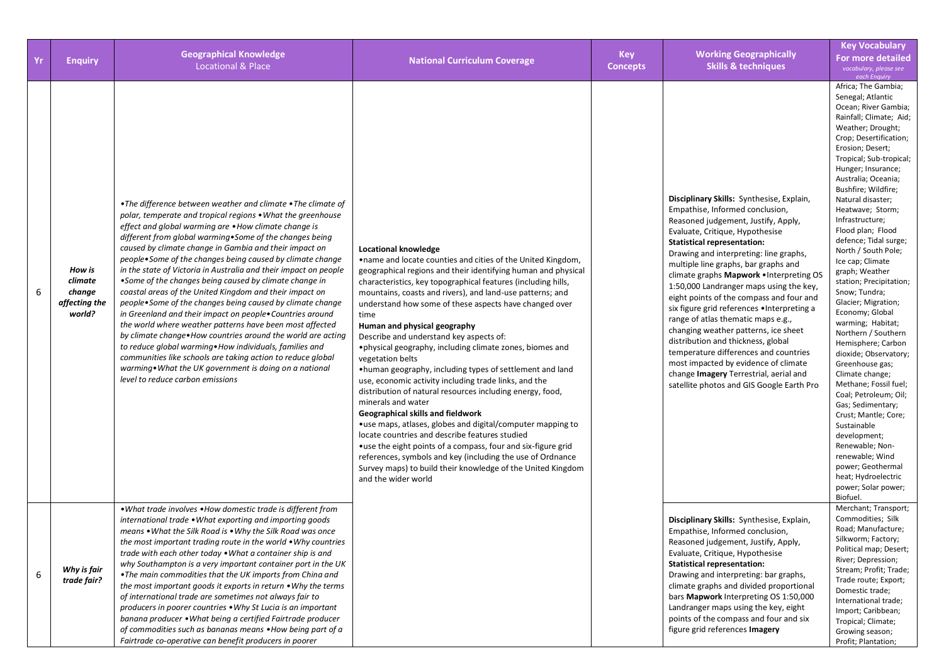| Yr | <b>Enquiry</b>                                         | <b>Geographical Knowledge</b><br><b>Locational &amp; Place</b>                                                                                                                                                                                                                                                                                                                                                                                                                                                                                                                                                                                                                                                                                                                                                                                                                                                                                                                                                                                     | <b>National Curriculum Coverage</b>                                                                                                                                                                                                                                                                                                                                                                                                                                                                                                                                                                                                                                                                                                                                                                                                                                                                                                                                                                                                                                                              | <b>Key</b><br><b>Concepts</b> | <b>Working Geographically</b><br><b>Skills &amp; techniques</b>                                                                                                                                                                                                                                                                                                                                                                                                                                                                                                                                                                                                                                                                                              | <b>Key Vocabulary</b><br><b>For more detailed</b><br>vocabulary, please see<br>each Enquiry                                                                                                                                                                                                                                                                                                                                                                                                                                                                                                                                                                                                                                                                                                                                                                                                                    |
|----|--------------------------------------------------------|----------------------------------------------------------------------------------------------------------------------------------------------------------------------------------------------------------------------------------------------------------------------------------------------------------------------------------------------------------------------------------------------------------------------------------------------------------------------------------------------------------------------------------------------------------------------------------------------------------------------------------------------------------------------------------------------------------------------------------------------------------------------------------------------------------------------------------------------------------------------------------------------------------------------------------------------------------------------------------------------------------------------------------------------------|--------------------------------------------------------------------------------------------------------------------------------------------------------------------------------------------------------------------------------------------------------------------------------------------------------------------------------------------------------------------------------------------------------------------------------------------------------------------------------------------------------------------------------------------------------------------------------------------------------------------------------------------------------------------------------------------------------------------------------------------------------------------------------------------------------------------------------------------------------------------------------------------------------------------------------------------------------------------------------------------------------------------------------------------------------------------------------------------------|-------------------------------|--------------------------------------------------------------------------------------------------------------------------------------------------------------------------------------------------------------------------------------------------------------------------------------------------------------------------------------------------------------------------------------------------------------------------------------------------------------------------------------------------------------------------------------------------------------------------------------------------------------------------------------------------------------------------------------------------------------------------------------------------------------|----------------------------------------------------------------------------------------------------------------------------------------------------------------------------------------------------------------------------------------------------------------------------------------------------------------------------------------------------------------------------------------------------------------------------------------------------------------------------------------------------------------------------------------------------------------------------------------------------------------------------------------------------------------------------------------------------------------------------------------------------------------------------------------------------------------------------------------------------------------------------------------------------------------|
| 6  | How is<br>climate<br>change<br>affecting the<br>world? | • The difference between weather and climate • The climate of<br>polar, temperate and tropical regions • What the greenhouse<br>effect and global warming are • How climate change is<br>different from global warming. Some of the changes being<br>caused by climate change in Gambia and their impact on<br>people. Some of the changes being caused by climate change<br>in the state of Victoria in Australia and their impact on people<br>•Some of the changes being caused by climate change in<br>coastal areas of the United Kingdom and their impact on<br>people. Some of the changes being caused by climate change<br>in Greenland and their impact on people• Countries around<br>the world where weather patterns have been most affected<br>by climate change. How countries around the world are acting<br>to reduce global warming. How individuals, families and<br>communities like schools are taking action to reduce global<br>warming . What the UK government is doing on a national<br>level to reduce carbon emissions | Locational knowledge<br>.name and locate counties and cities of the United Kingdom,<br>geographical regions and their identifying human and physical<br>characteristics, key topographical features (including hills,<br>mountains, coasts and rivers), and land-use patterns; and<br>understand how some of these aspects have changed over<br>time<br>Human and physical geography<br>Describe and understand key aspects of:<br>•physical geography, including climate zones, biomes and<br>vegetation belts<br>•human geography, including types of settlement and land<br>use, economic activity including trade links, and the<br>distribution of natural resources including energy, food,<br>minerals and water<br>Geographical skills and fieldwork<br>•use maps, atlases, globes and digital/computer mapping to<br>locate countries and describe features studied<br>•use the eight points of a compass, four and six-figure grid<br>references, symbols and key (including the use of Ordnance<br>Survey maps) to build their knowledge of the United Kingdom<br>and the wider world |                               | Disciplinary Skills: Synthesise, Explain,<br>Empathise, Informed conclusion,<br>Reasoned judgement, Justify, Apply,<br>Evaluate, Critique, Hypothesise<br><b>Statistical representation:</b><br>Drawing and interpreting: line graphs,<br>multiple line graphs, bar graphs and<br>climate graphs Mapwork . Interpreting OS<br>1:50,000 Landranger maps using the key,<br>eight points of the compass and four and<br>six figure grid references . Interpreting a<br>range of atlas thematic maps e.g.,<br>changing weather patterns, ice sheet<br>distribution and thickness, global<br>temperature differences and countries<br>most impacted by evidence of climate<br>change Imagery Terrestrial, aerial and<br>satellite photos and GIS Google Earth Pro | Africa, The Gambia,<br>Senegal; Atlantic<br>Ocean; River Gambia;<br>Rainfall; Climate; Aid;<br>Weather; Drought;<br>Crop; Desertification;<br>Erosion; Desert;<br>Tropical; Sub-tropical;<br>Hunger; Insurance;<br>Australia; Oceania;<br>Bushfire; Wildfire;<br>Natural disaster;<br>Heatwave; Storm;<br>Infrastructure;<br>Flood plan; Flood<br>defence; Tidal surge;<br>North / South Pole;<br>Ice cap; Climate<br>graph; Weather<br>station; Precipitation;<br>Snow; Tundra;<br>Glacier; Migration;<br>Economy; Global<br>warming; Habitat;<br>Northern / Southern<br>Hemisphere; Carbon<br>dioxide; Observatory;<br>Greenhouse gas;<br>Climate change;<br>Methane; Fossil fuel;<br>Coal; Petroleum; Oil;<br>Gas; Sedimentary;<br>Crust; Mantle; Core;<br>Sustainable<br>development;<br>Renewable; Non-<br>renewable; Wind<br>power; Geothermal<br>heat; Hydroelectric<br>power; Solar power;<br>Biofuel. |
| 6  | Why is fair<br>trade fair?                             | • What trade involves • How domestic trade is different from<br>international trade . What exporting and importing goods<br>means . What the Silk Road is . Why the Silk Road was once<br>the most important trading route in the world $\bullet$ Why countries<br>trade with each other today . What a container ship is and<br>why Southampton is a very important container port in the UK<br>. The main commodities that the UK imports from China and<br>the most important goods it exports in return • Why the terms<br>of international trade are sometimes not always fair to<br>producers in poorer countries . Why St Lucia is an important<br>banana producer • What being a certified Fairtrade producer<br>of commodities such as bananas means . How being part of a<br>Fairtrade co-operative can benefit producers in poorer                                                                                                                                                                                                      |                                                                                                                                                                                                                                                                                                                                                                                                                                                                                                                                                                                                                                                                                                                                                                                                                                                                                                                                                                                                                                                                                                  |                               | Disciplinary Skills: Synthesise, Explain,<br>Empathise, Informed conclusion,<br>Reasoned judgement, Justify, Apply,<br>Evaluate, Critique, Hypothesise<br><b>Statistical representation:</b><br>Drawing and interpreting: bar graphs,<br>climate graphs and divided proportional<br>bars Mapwork Interpreting OS 1:50,000<br>Landranger maps using the key, eight<br>points of the compass and four and six<br>figure grid references Imagery                                                                                                                                                                                                                                                                                                                | Merchant; Transport;<br>Commodities; Silk<br>Road; Manufacture;<br>Silkworm; Factory;<br>Political map; Desert;<br>River; Depression;<br>Stream; Profit; Trade;<br>Trade route; Export;<br>Domestic trade;<br>International trade;<br>Import; Caribbean;<br>Tropical; Climate;<br>Growing season;<br>Profit; Plantation;                                                                                                                                                                                                                                                                                                                                                                                                                                                                                                                                                                                       |